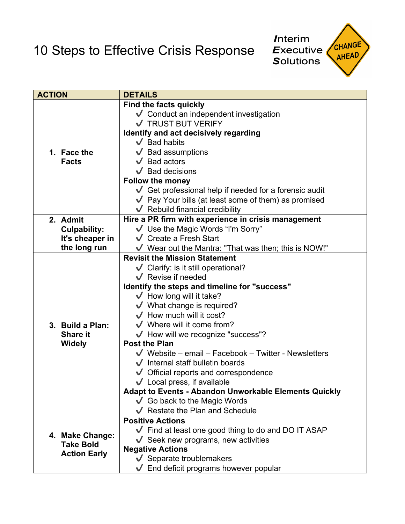10 Steps to Effective Crisis Response



| <b>ACTION</b> |                                                            | <b>DETAILS</b>                                                          |
|---------------|------------------------------------------------------------|-------------------------------------------------------------------------|
|               | 1. Face the<br><b>Facts</b>                                | <b>Find the facts quickly</b>                                           |
|               |                                                            | ↓ Conduct an independent investigation                                  |
|               |                                                            | ✔ TRUST BUT VERIFY                                                      |
|               |                                                            | Identify and act decisively regarding                                   |
|               |                                                            | $\sqrt{\phantom{a}}$ Bad habits                                         |
|               |                                                            | $\sqrt{\phantom{a}}$ Bad assumptions                                    |
|               |                                                            | $\sqrt{\phantom{a}}$ Bad actors                                         |
|               |                                                            | $\sqrt{\phantom{a}}$ Bad decisions                                      |
|               |                                                            | <b>Follow the money</b>                                                 |
|               |                                                            | $\vee$ Get professional help if needed for a forensic audit             |
|               |                                                            | $\sqrt{\phantom{a}}$ Pay Your bills (at least some of them) as promised |
|               |                                                            | $\sqrt{\phantom{a}}$ Rebuild financial credibility                      |
|               | 2. Admit                                                   | Hire a PR firm with experience in crisis management                     |
|               | <b>Culpability:</b><br>It's cheaper in                     | ↓ Use the Magic Words "I'm Sorry"                                       |
|               |                                                            | $\sqrt{\phantom{a}}$ Create a Fresh Start                               |
|               | the long run                                               | V Wear out the Mantra: "That was then; this is NOW!"                    |
|               | 3. Build a Plan:<br><b>Share it</b><br><b>Widely</b>       | <b>Revisit the Mission Statement</b>                                    |
|               |                                                            | $\checkmark$ Clarify: is it still operational?                          |
|               |                                                            | $\sqrt{\phantom{a}}$ Revise if needed                                   |
|               |                                                            | Identify the steps and timeline for "success"                           |
|               |                                                            | $\sqrt{\phantom{a}}$ How long will it take?                             |
|               |                                                            | $\sqrt{\phantom{a}}$ What change is required?                           |
|               |                                                            | $\sqrt{\phantom{a}}$ How much will it cost?                             |
|               |                                                            | $\sqrt{\ }$ Where will it come from?                                    |
|               |                                                            | $\checkmark$ How will we recognize "success"?                           |
|               |                                                            | <b>Post the Plan</b>                                                    |
|               |                                                            | $\sqrt{\phantom{a}}$ Website – email – Facebook – Twitter - Newsletters |
|               |                                                            | $\sqrt{\phantom{a}}$ Internal staff bulletin boards                     |
|               |                                                            | $\sqrt{\phantom{a}}$ Official reports and correspondence                |
|               |                                                            | $\sqrt{\phantom{a}}$ Local press, if available                          |
|               |                                                            | <b>Adapt to Events - Abandon Unworkable Elements Quickly</b>            |
|               |                                                            | $\checkmark$ Go back to the Magic Words                                 |
|               |                                                            | ↓ Restate the Plan and Schedule                                         |
|               | 4. Make Change:<br><b>Take Bold</b><br><b>Action Early</b> | <b>Positive Actions</b>                                                 |
|               |                                                            | ↓ Find at least one good thing to do and DO IT ASAP                     |
|               |                                                            | $\checkmark$ Seek new programs, new activities                          |
|               |                                                            | <b>Negative Actions</b>                                                 |
|               |                                                            | $\sqrt{\ }$ Separate troublemakers                                      |
|               |                                                            | $\sqrt{\phantom{a}}$ End deficit programs however popular               |